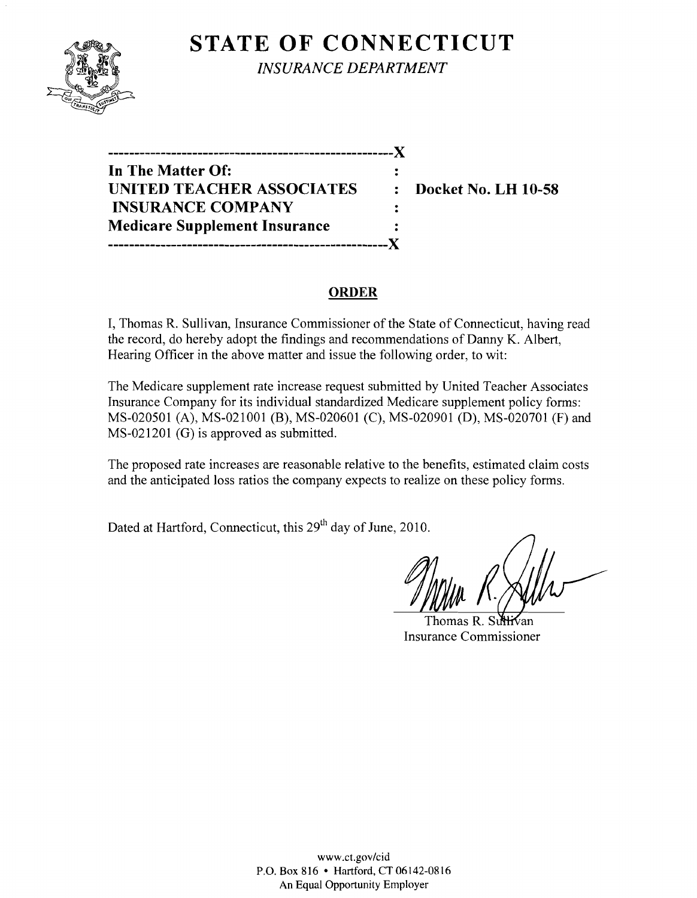

**STATE OF CONNECTICUT** *INSURANCE DEPARTMENT* 

**------------------------------------------------------**)( **In The Matter Of: UNITED TEACHER ASSOCIATES : Docket No. LH 10-58 INSURANCE COMPANY Medicare Supplement Insurance -----------------------------------------------------)(** 

### **ORDER**

 $\ddot{\cdot}$ 

I, Thomas R. Sullivan, Insurance Commissioner of the State of Connecticut, having read the record, do hereby adopt the findings and recommendations of Danny K. Albert, Hearing Officer in the above matter and issue the following order, to wit:

The Medicare supplement rate increase request submitted by United Teacher Associates Insurance Company for its individual standardized Medicare supplement policy forms: MS-020501 (A), MS-021001 (B), MS-020601 (C), MS-020901 (D), MS-020701 (F) and MS-021201 (G) is approved as submitted.

The proposed rate increases are reasonable relative to the benefits, estimated claim costs and the anticipated loss ratios the company expects to realize on these policy forms.

Dated at Hartford, Connecticut, this 29<sup>th</sup> day of June, 2010.

Thomas  $R$  . Sir Insurance Commissioner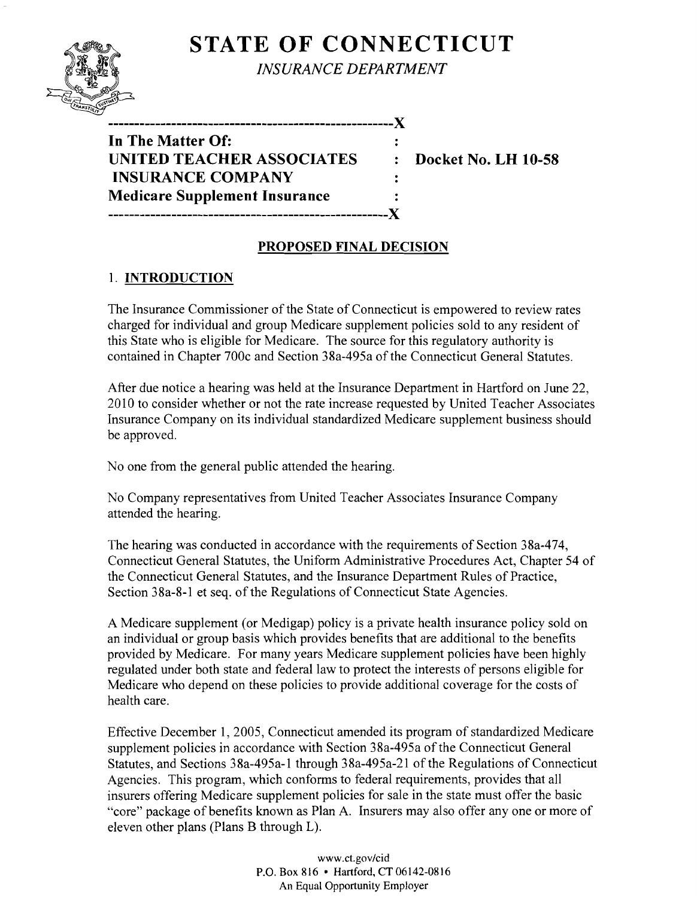# **STATE OF CONNECTICUT**



*INSURANCE DEPARTMENT* 

**------------------------------------------------------**){

**In The Matter Of:**  UNITED TEACHER ASSOCIATES : Docket No. LH 10-58 **INSURANCE COMPANY Medicare Supplement Insurance -----------------------------------------------------){** 

## **PROPOSED FINAL DECISION**

 $\mathbf{r}$ 

 $\ddot{\cdot}$ 

### 1. **INTRODUCTION**

The Insurance Commissioner of the State of Connecticut is empowered to review rates charged for individual and group Medicare supplement policies sold to any resident of this State who is eligible for Medicare. The source for this regulatory authority is contained in Chapter 700c and Section 38a-495a of the Connecticut General Statutes.

After due notice a hearing was held at the Insurance Department in Hartford on June 22, 2010 to consider whether or not the rate increase requested by United Teacher Associates Insurance Company on its individual standardized Medicare supplement business should be approved.

No one from the general public attended the hearing.

No Company representatives from United Teacher Associates Insurance Company attended the hearing.

The hearing was conducted in accordance with the requirements of Section 38a-474, Connecticut General Statutes, the Uniform Administrative Procedures Act, Chapter 54 of the Connecticut General Statutes, and the Insurance Department Rules of Practice, Section 38a-8-1 et seq. of the Regulations of Connecticut State Agencies.

A Medicare supplement (or Medigap) policy is a private health insurance policy sold on an individual or group basis which provides benefits that are additional to the benefits provided by Medicare. For many years Medicare supplement policies have been highly regulated under both state and federal law to protect the interests of persons eligible for Medicare who depend on these policies to provide additional coverage for the costs of health care.

Effective December 1, 2005, Connecticut amended its program of standardized Medicare supplement policies in accordance with Section 38a-495a of the Connecticut General Statutes, and Sections 38a-495a-l through 38a-495a-21 of the Regulations of Connecticut Agencies. This program, which conforms to federal requirements, provides that all insurers offering Medicare supplement policies for sale in the state must offer the basic "core" package of benefits known as Plan A. Insurers may also offer anyone or more of eleven other plans (Plans B through L).

> www.CLgov/cid P.O. Box 816 • Hartford, CT 06142-0816 An Equal Opportunity Employer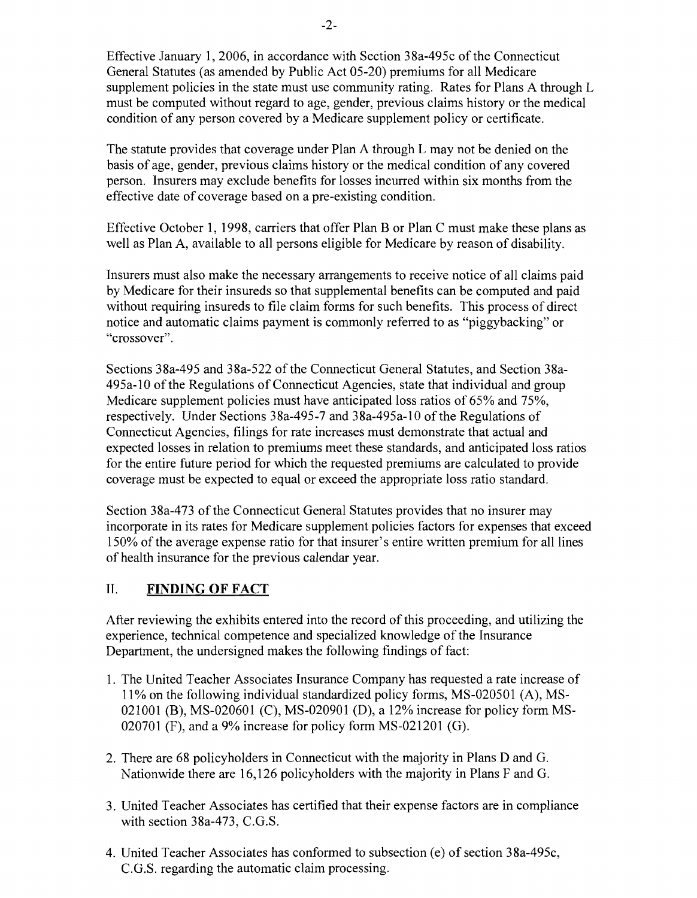Effective January 1,2006, in accordance with Section 38a-495c ofthe Connecticut General Statutes (as amended by Public Act 05-20) premiums for all Medicare supplement policies in the state must use community rating. Rates for Plans A through L must be computed without regard to age, gender, previous claims history or the medical condition of any person covered by a Medicare supplement policy or certificate.

The statute provides that coverage under Plan A through L may not be denied on the basis of age, gender, previous claims history or the medical condition of any covered person. Insurers may exclude benefits for losses incurred within six months from the effective date of coverage based on a pre-existing condition.

Effective October 1, 1998, carriers that offer Plan B or Plan C must make these plans as well as Plan A, available to all persons eligible for Medicare by reason of disability.

Insurers must also make the necessary arrangements to receive notice of all claims paid by Medicare for their insureds so that supplemental benefits can be computed and paid without requiring insureds to file claim forms for such benefits. This process of direct notice and automatic claims payment is commonly referred to as "piggybacking" or "crossover".

Sections 38a-495 and 38a-522 of the Connecticut General Statutes, and Section 38a-495a-l0 ofthe Regulations of Connecticut Agencies, state that individual and group Medicare supplement policies must have anticipated loss ratios of 65% and 75%, respectively. Under Sections 38a-495-7 and 38a-495a-l0 of the Regulations of Connecticut Agencies, filings for rate increases must demonstrate that actual and expected losses in relation to premiums meet these standards, and anticipated loss ratios for the entire future period for which the requested premiums are calculated to provide coverage must be expected to equal or exceed the appropriate loss ratio standard.

Section 38a-473 of the Connecticut General Statutes provides that no insurer may incorporate in its rates for Medicare supplement policies factors for expenses that exceed 150% of the average expense ratio for that insurer's entire written premium for all lines of health insurance for the previous calendar year.

#### II. **FINDING OF FACT**

After reviewing the exhibits entered into the record of this proceeding, and utilizing the experience, technical competence and specialized knowledge of the Insurance Department, the undersigned makes the following findings of fact:

- 1. The United Teacher Associates Insurance Company has requested a rate increase of 11 % on the following individual standardized policy forms, MS-020501 (A), MS-021001 (B), MS-020601 (C), MS-020901 (D), a 12% increase for policy form MS-020701 (F), and a 9% increase for policy form MS-021201 (G).
- 2. There are 68 policyholders in Connecticut with the majority in Plans D and G. Nationwide there are 16,126 policyholders with the majority in Plans F and G.
- 3. United Teacher Associates has certified that their expense factors are in compliance with section 38a-473, C.G.S.
- 4. United Teacher Associates has conformed to subsection (e) of section 38a-495c, C.G.S. regarding the automatic claim processing.